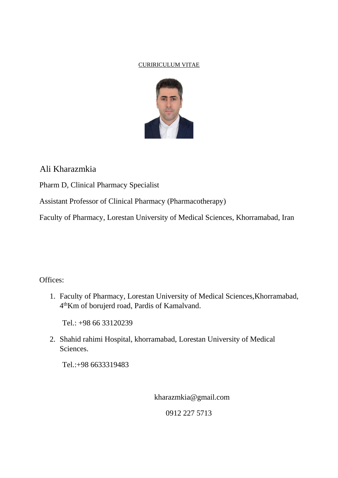### CURIRICULUM VITAE



# Ali Kharazmkia

Pharm D, Clinical Pharmacy Specialist

Assistant Professor of Clinical Pharmacy (Pharmacotherapy)

Faculty of Pharmacy, Lorestan University of Medical Sciences, Khorramabad, Iran

## Offices:

1. Faculty of Pharmacy, Lorestan University of Medical Sciences,Khorramabad, 4 thKm of borujerd road, Pardis of Kamalvand.

Tel.: +98 66 33120239

2. Shahid rahimi Hospital, khorramabad, Lorestan University of Medical Sciences.

Tel.:+98 6633319483

kharazmkia@gmail.com

0912 227 5713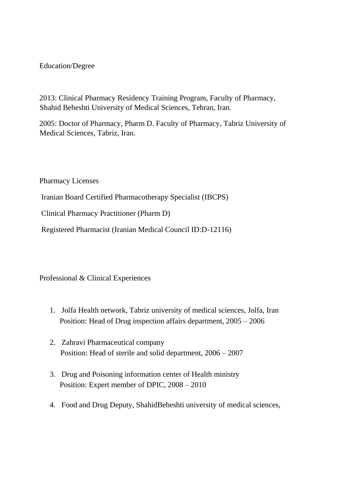## Education/Degree

2013: Clinical Pharmacy Residency Training Program, Faculty of Pharmacy, Shahid Beheshti University of Medical Sciences, Tehran, Iran.

2005: Doctor of Pharmacy, Pharm D. Faculty of Pharmacy, Tabriz University of Medical Sciences, Tabriz, Iran.

Pharmacy Licenses

Iranian Board Certified Pharmacotherapy Specialist (IBCPS)

Clinical Pharmacy Practitioner (Pharm D)

Registered Pharmacist (Iranian Medical Council ID:D-12116)

Professional & Clinical Experiences

- 1. Jolfa Health network, Tabriz university of medical sciences, Jolfa, Iran Position: Head of Drug inspection affairs department, 2005 – 2006
- 2. Zahravi Pharmaceutical company Position: Head of sterile and solid department, 2006 – 2007
- 3. Drug and Poisoning information center of Health ministry Position: Expert member of DPIC, 2008 – 2010
- 4. Food and Drug Deputy, ShahidBeheshti university of medical sciences,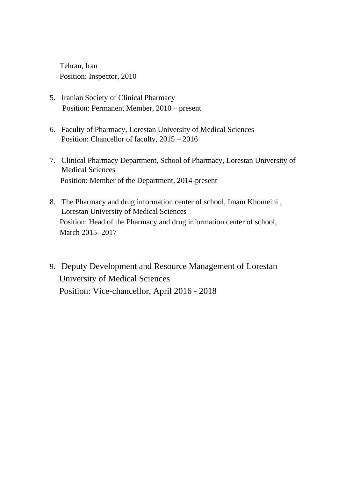Tehran, Iran Position: Inspector, 2010

- 5. Iranian Society of Clinical Pharmacy Position: Permanent Member, 2010 – present
- 6. Faculty of Pharmacy, Lorestan University of Medical Sciences Position: Chancellor of faculty,  $2015 - 2016$
- 7. Clinical Pharmacy Department, School of Pharmacy, Lorestan University of Medical Sciences Position: Member of the Department, 2014-present
- 8. The Pharmacy and drug information center of school, Imam Khomeini , Lorestan University of Medical Sciences Position: Head of the Pharmacy and drug information center of school, March 2015- 2017
- 9. Deputy Development and Resource Management of Lorestan University of Medical Sciences Position: Vice-chancellor, April 2016 - 2018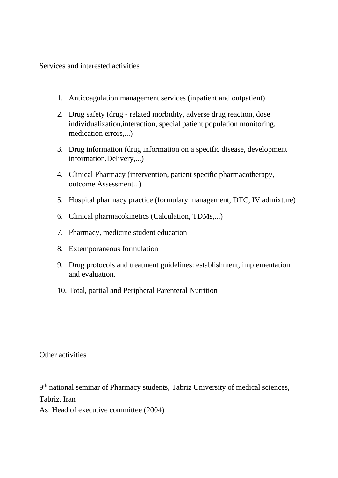Services and interested activities

- 1. Anticoagulation management services (inpatient and outpatient)
- 2. Drug safety (drug related morbidity, adverse drug reaction, dose individualization,interaction, special patient population monitoring, medication errors,...)
- 3. Drug information (drug information on a specific disease, development information,Delivery,...)
- 4. Clinical Pharmacy (intervention, patient specific pharmacotherapy, outcome Assessment...)
- 5. Hospital pharmacy practice (formulary management, DTC, IV admixture)
- 6. Clinical pharmacokinetics (Calculation, TDMs,...)
- 7. Pharmacy, medicine student education
- 8. Extemporaneous formulation
- 9. Drug protocols and treatment guidelines: establishment, implementation and evaluation.
- 10. Total, partial and Peripheral Parenteral Nutrition

Other activities

9<sup>th</sup> national seminar of Pharmacy students, Tabriz University of medical sciences, Tabriz, Iran As: Head of executive committee (2004)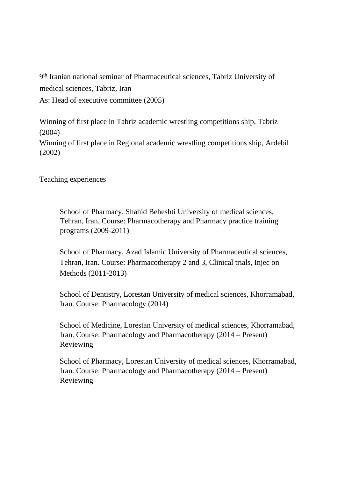9 th Iranian national seminar of Pharmaceutical sciences, Tabriz University of medical sciences, Tabriz, Iran As: Head of executive committee (2005)

Winning of first place in Tabriz academic wrestling competitions ship, Tabriz (2004) Winning of first place in Regional academic wrestling competitions ship, Ardebil (2002)

Teaching experiences

School of Pharmacy, Shahid Beheshti University of medical sciences, Tehran, Iran. Course: Pharmacotherapy and Pharmacy practice training programs (2009-2011)

School of Pharmacy, Azad Islamic University of Pharmaceutical sciences, Tehran, Iran. Course: Pharmacotherapy 2 and 3, Clinical trials, Injec on Methods (2011-2013)

School of Dentistry, Lorestan University of medical sciences, Khorramabad, Iran. Course: Pharmacology (2014)

School of Medicine, Lorestan University of medical sciences, Khorramabad, Iran. Course: Pharmacology and Pharmacotherapy (2014 – Present) Reviewing

School of Pharmacy, Lorestan University of medical sciences, Khorramabad, Iran. Course: Pharmacology and Pharmacotherapy (2014 – Present) Reviewing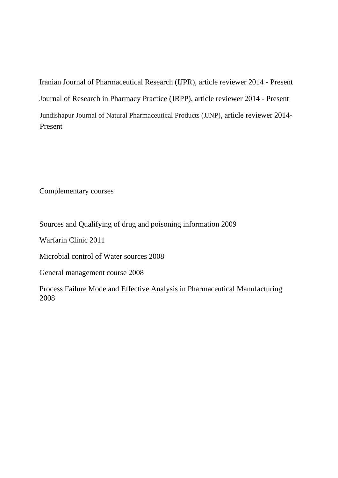Iranian Journal of Pharmaceutical Research (IJPR), article reviewer 2014 - Present Journal of Research in Pharmacy Practice (JRPP), article reviewer 2014 - Present Jundishapur Journal of Natural Pharmaceutical Products (JJNP), article reviewer 2014- Present

Complementary courses

Sources and Qualifying of drug and poisoning information 2009

Warfarin Clinic 2011

Microbial control of Water sources 2008

General management course 2008

Process Failure Mode and Effective Analysis in Pharmaceutical Manufacturing 2008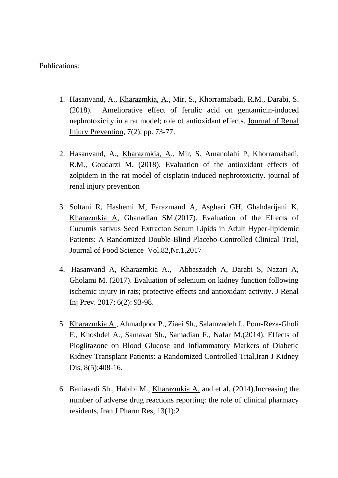Publications:

- 1. Hasanvand, A., Kharazmkia, A., Mir, S., Khorramabadi, R.M., Darabi, S. (2018). Ameliorative effect of ferulic acid on gentamicin-induced nephrotoxicity in a rat model; role of antioxidant effects. [Journal of Renal](http://rsf.research.ac.ir/Index.php?itemId=82869)  [Injury Prevention,](http://rsf.research.ac.ir/Index.php?itemId=82869) 7(2), pp. 73-77.
- 2. Hasanvand, A., Kharazmkia, A., Mir, S. Amanolahi P, Khorramabadi, R.M., Goudarzi M. (2018). Evaluation of the antioxidant effects of zolpidem in the rat model of cisplatin-induced nephrotoxicity. journal of renal injury prevention
- 3. Soltani R, Hashemi M, Farazmand A, Asghari GH, Ghahdarijani K, Kharazmkia A, Ghanadian SM.(2017). Evaluation of the Effects of Cucumis sativus Seed Extracton Serum Lipids in Adult Hyper-lipidemic Patients: A Randomized Double-Blind Placebo-Controlled Clinical Trial, Journal of Food Science Vol.82,Nr.1,2017
- 4. Hasanvand A, Kharazmkia A., Abbaszadeh A, Darabi S, Nazari A, Gholami M. (2017). Evaluation of selenium on kidney function following ischemic injury in rats; protective effects and antioxidant activity. J Renal Inj Prev. 2017; 6(2): 93-98.
- 5. Kharazmkia A., Ahmadpoor P., Ziaei Sh., Salamzadeh J., Pour-Reza-Gholi F., Khoshdel A., Samavat Sh., Samadian F., Nafar M.(2014). Effects of Pioglitazone on Blood Glucose and Inflammatory Markers of Diabetic Kidney Transplant Patients: a Randomized Controlled Trial,Iran J Kidney Dis, 8(5):408-16.
- 6. Baniasadi Sh., Habibi M., Kharazmkia A. and et al. (2014).Increasing the number of adverse drug reactions reporting: the role of clinical pharmacy residents, Iran J Pharm Res, 13(1):2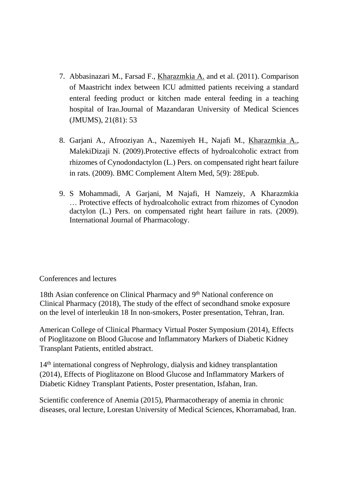- 7. Abbasinazari M., Farsad F., Kharazmkia A. and et al. (2011). Comparison of Maastricht index between ICU admitted patients receiving a standard enteral feeding product or kitchen made enteral feeding in a teaching hospital of Iran.Journal of Mazandaran University of Medical Sciences (JMUMS), 21(81): 53
- 8. Garjani A., Afrooziyan A., Nazemiyeh H., Najafi M., Kharazmkia A., MalekiDizaji N. (2009).Protective effects of hydroalcoholic extract from rhizomes of Cynodondactylon (L.) Pers. on compensated right heart failure in rats. (2009). BMC Complement Altern Med, 5(9): 28Epub.
- 9. S Mohammadi, A Garjani, M Najafi, H Namzeiy, A Kharazmkia … [Protective effects of hydroalcoholic extract from rhizomes of Cynodon](https://scholar.google.com/scholar?oi=bibs&cluster=12036213428774612469&btnI=1&hl=en)  [dactylon \(L.\) Pers. on compensated right heart failure in rats.](https://scholar.google.com/scholar?oi=bibs&cluster=12036213428774612469&btnI=1&hl=en) (2009). International Journal of Pharmacology.

## Conferences and lectures

18th Asian conference on Clinical Pharmacy and 9<sup>th</sup> National conference on Clinical Pharmacy (2018), The study of the effect of secondhand smoke exposure on the level of interleukin 18 In non-smokers, Poster presentation, Tehran, Iran.

American College of Clinical Pharmacy Virtual Poster Symposium (2014), Effects of Pioglitazone on Blood Glucose and Inflammatory Markers of Diabetic Kidney Transplant Patients, entitled abstract.

14th international congress of Nephrology, dialysis and kidney transplantation (2014), Effects of Pioglitazone on Blood Glucose and Inflammatory Markers of Diabetic Kidney Transplant Patients, Poster presentation, Isfahan, Iran.

Scientific conference of Anemia (2015), Pharmacotherapy of anemia in chronic diseases, oral lecture, Lorestan University of Medical Sciences, Khorramabad, Iran.